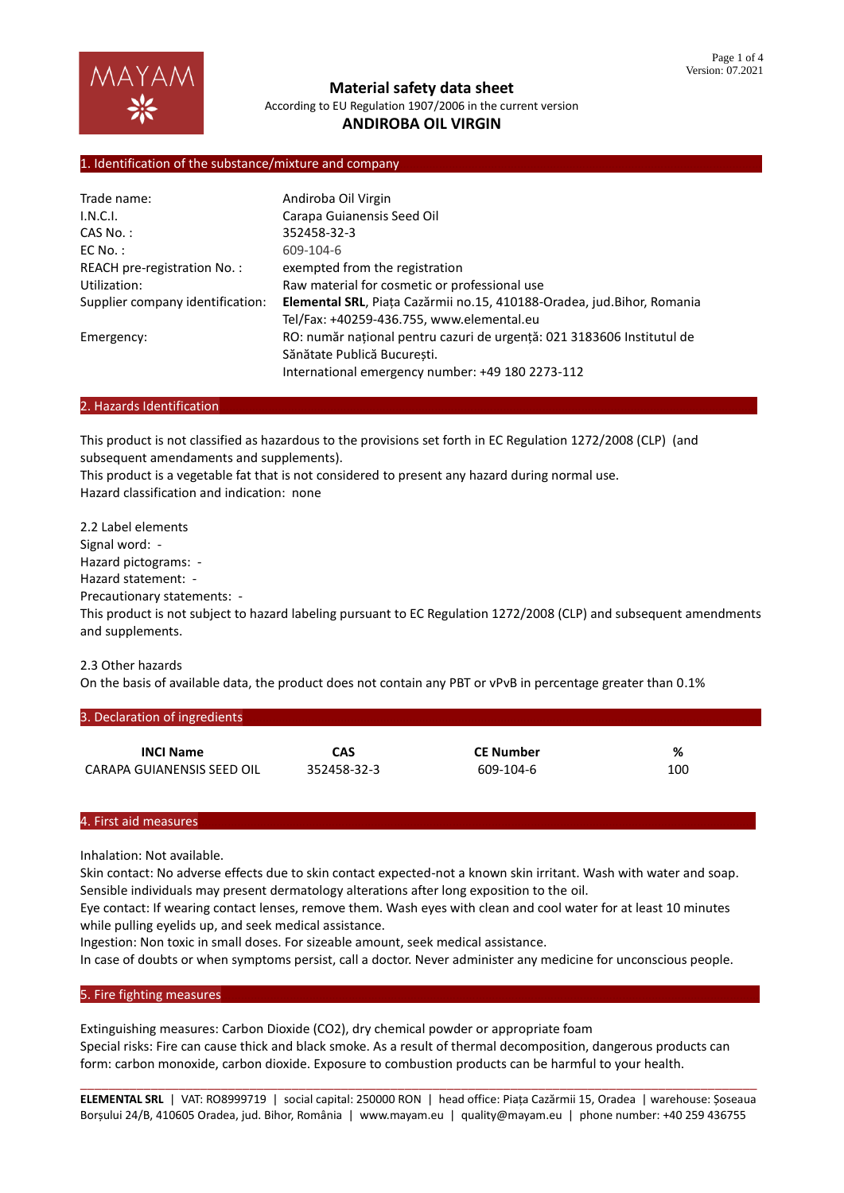

**Material safety data sheet** According to EU Regulation 1907/2006 in the current version

# **ANDIROBA OIL VIRGIN**

### 1. Identification of the substance/mixture and company

| Trade name:                      | Andiroba Oil Virgin                                                    |  |  |
|----------------------------------|------------------------------------------------------------------------|--|--|
| I.N.C.I.                         | Carapa Guianensis Seed Oil                                             |  |  |
| CAS No. :                        | 352458-32-3                                                            |  |  |
| $EC$ No. :                       | 609-104-6                                                              |  |  |
| REACH pre-registration No.:      | exempted from the registration                                         |  |  |
| Utilization:                     | Raw material for cosmetic or professional use                          |  |  |
| Supplier company identification: | Elemental SRL, Piața Cazărmii no.15, 410188-Oradea, jud.Bihor, Romania |  |  |
|                                  | Tel/Fax: +40259-436.755, www.elemental.eu                              |  |  |
| Emergency:                       | RO: număr național pentru cazuri de urgență: 021 3183606 Institutul de |  |  |
|                                  | Sănătate Publică Bucuresti.                                            |  |  |
|                                  | International emergency number: +49 180 2273-112                       |  |  |

### 2. Hazards Identification

This product is not classified as hazardous to the provisions set forth in EC Regulation 1272/2008 (CLP) (and subsequent amendaments and supplements).

This product is a vegetable fat that is not considered to present any hazard during normal use. Hazard classification and indication: none

2.2 Label elements Signal word: - Hazard pictograms: - Hazard statement: - Precautionary statements: - This product is not subject to hazard labeling pursuant to EC Regulation 1272/2008 (CLP) and subsequent amendments and supplements.

## 2.3 Other hazards

On the basis of available data, the product does not contain any PBT or vPvB in percentage greater than 0.1%

| 3. Declaration of ingredients |             |                  |     |
|-------------------------------|-------------|------------------|-----|
| <b>INCI Name</b>              | <b>CAS</b>  | <b>CE Number</b> | %   |
| CARAPA GUIANENSIS SEED OIL    | 352458-32-3 | 609-104-6        | 100 |

### 4. First aid measures………………………………………………………………………………………………………………………………………………………

Inhalation: Not available.

Skin contact: No adverse effects due to skin contact expected-not a known skin irritant. Wash with water and soap. Sensible individuals may present dermatology alterations after long exposition to the oil.

Eye contact: If wearing contact lenses, remove them. Wash eyes with clean and cool water for at least 10 minutes while pulling eyelids up, and seek medical assistance.

Ingestion: Non toxic in small doses. For sizeable amount, seek medical assistance.

In case of doubts or when symptoms persist, call a doctor. Never administer any medicine for unconscious people.

### 5. Fire fighting measures

Extinguishing measures: Carbon Dioxide (CO2), dry chemical powder or appropriate foam Special risks: Fire can cause thick and black smoke. As a result of thermal decomposition, dangerous products can form: carbon monoxide, carbon dioxide. Exposure to combustion products can be harmful to your health.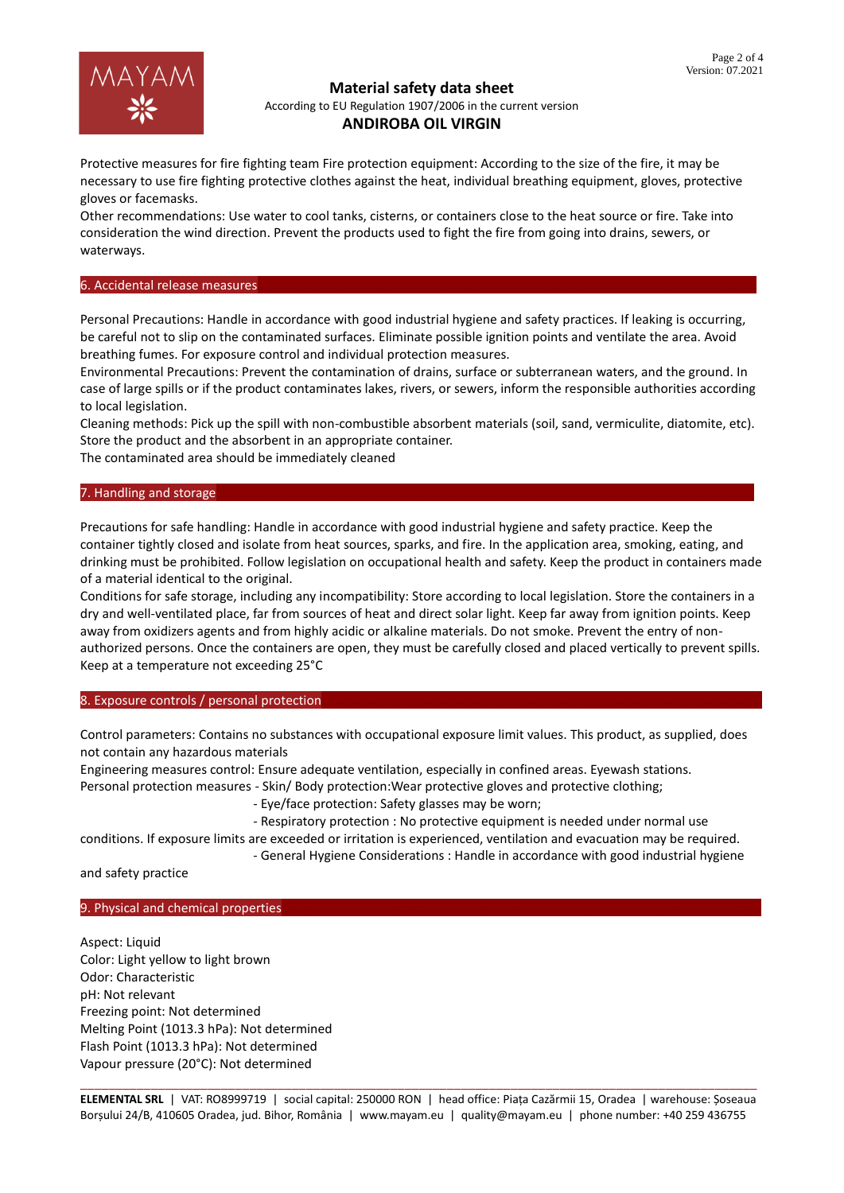

## **Material safety data sheet**

According to EU Regulation 1907/2006 in the current version

## **ANDIROBA OIL VIRGIN**

Protective measures for fire fighting team Fire protection equipment: According to the size of the fire, it may be necessary to use fire fighting protective clothes against the heat, individual breathing equipment, gloves, protective gloves or facemasks.

Other recommendations: Use water to cool tanks, cisterns, or containers close to the heat source or fire. Take into consideration the wind direction. Prevent the products used to fight the fire from going into drains, sewers, or waterways.

## 6. Accidental release measures

Personal Precautions: Handle in accordance with good industrial hygiene and safety practices. If leaking is occurring, be careful not to slip on the contaminated surfaces. Eliminate possible ignition points and ventilate the area. Avoid breathing fumes. For exposure control and individual protection measures.

Environmental Precautions: Prevent the contamination of drains, surface or subterranean waters, and the ground. In case of large spills or if the product contaminates lakes, rivers, or sewers, inform the responsible authorities according to local legislation.

Cleaning methods: Pick up the spill with non-combustible absorbent materials (soil, sand, vermiculite, diatomite, etc). Store the product and the absorbent in an appropriate container.

The contaminated area should be immediately cleaned

### 7. Handling and storage

Precautions for safe handling: Handle in accordance with good industrial hygiene and safety practice. Keep the container tightly closed and isolate from heat sources, sparks, and fire. In the application area, smoking, eating, and drinking must be prohibited. Follow legislation on occupational health and safety. Keep the product in containers made of a material identical to the original.

Conditions for safe storage, including any incompatibility: Store according to local legislation. Store the containers in a dry and well-ventilated place, far from sources of heat and direct solar light. Keep far away from ignition points. Keep away from oxidizers agents and from highly acidic or alkaline materials. Do not smoke. Prevent the entry of nonauthorized persons. Once the containers are open, they must be carefully closed and placed vertically to prevent spills. Keep at a temperature not exceeding 25°C

8. Exposure controls / personal protection

Control parameters: Contains no substances with occupational exposure limit values. This product, as supplied, does not contain any hazardous materials

Engineering measures control: Ensure adequate ventilation, especially in confined areas. Eyewash stations. Personal protection measures - Skin/ Body protection:Wear protective gloves and protective clothing;

- Eye/face protection: Safety glasses may be worn;

- Respiratory protection : No protective equipment is needed under normal use

conditions. If exposure limits are exceeded or irritation is experienced, ventilation and evacuation may be required. - General Hygiene Considerations : Handle in accordance with good industrial hygiene

and safety practice

## 9. Physical and chemical properties

Aspect: Liquid Color: Light yellow to light brown Odor: Characteristic pH: Not relevant Freezing point: Not determined Melting Point (1013.3 hPa): Not determined Flash Point (1013.3 hPa): Not determined Vapour pressure (20°C): Not determined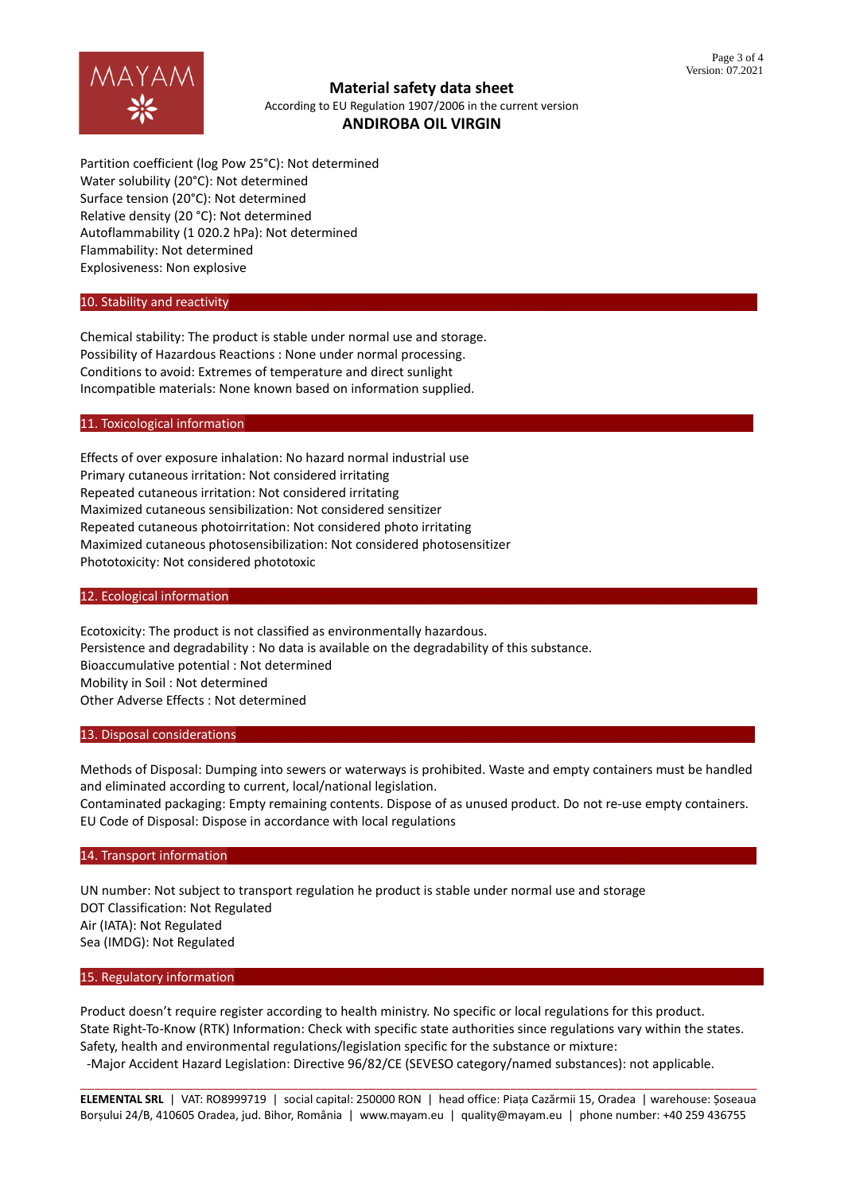

**Material safety data sheet** According to EU Regulation 1907/2006 in the current version

# **ANDIROBA OIL VIRGIN**

Partition coefficient (log Pow 25°C): Not determined Water solubility (20°C): Not determined Surface tension (20°C): Not determined Relative density (20 °C): Not determined Autoflammability (1 020.2 hPa): Not determined Flammability: Not determined Explosiveness: Non explosive

### 10. Stability and reactivity

Chemical stability: The product is stable under normal use and storage. Possibility of Hazardous Reactions : None under normal processing. Conditions to avoid: Extremes of temperature and direct sunlight Incompatible materials: None known based on information supplied.

### 11. Toxicological information

Effects of over exposure inhalation: No hazard normal industrial use Primary cutaneous irritation: Not considered irritating Repeated cutaneous irritation: Not considered irritating Maximized cutaneous sensibilization: Not considered sensitizer Repeated cutaneous photoirritation: Not considered photo irritating Maximized cutaneous photosensibilization: Not considered photosensitizer Phototoxicity: Not considered phototoxic

### 12. Ecological information

Ecotoxicity: The product is not classified as environmentally hazardous. Persistence and degradability : No data is available on the degradability of this substance. Bioaccumulative potential : Not determined Mobility in Soil : Not determined Other Adverse Effects : Not determined

### 13. Disposal considerations

Methods of Disposal: Dumping into sewers or waterways is prohibited. Waste and empty containers must be handled and eliminated according to current, local/national legislation.

Contaminated packaging: Empty remaining contents. Dispose of as unused product. Do not re-use empty containers. EU Code of Disposal: Dispose in accordance with local regulations

### 14. Transport information

UN number: Not subject to transport regulation he product is stable under normal use and storage DOT Classification: Not Regulated Air (IATA): Not Regulated Sea (IMDG): Not Regulated

### 15. Regulatory information

Product doesn't require register according to health ministry. No specific or local regulations for this product. State Right-To-Know (RTK) Information: Check with specific state authorities since regulations vary within the states. Safety, health and environmental regulations/legislation specific for the substance or mixture: -Major Accident Hazard Legislation: Directive 96/82/CE (SEVESO category/named substances): not applicable.